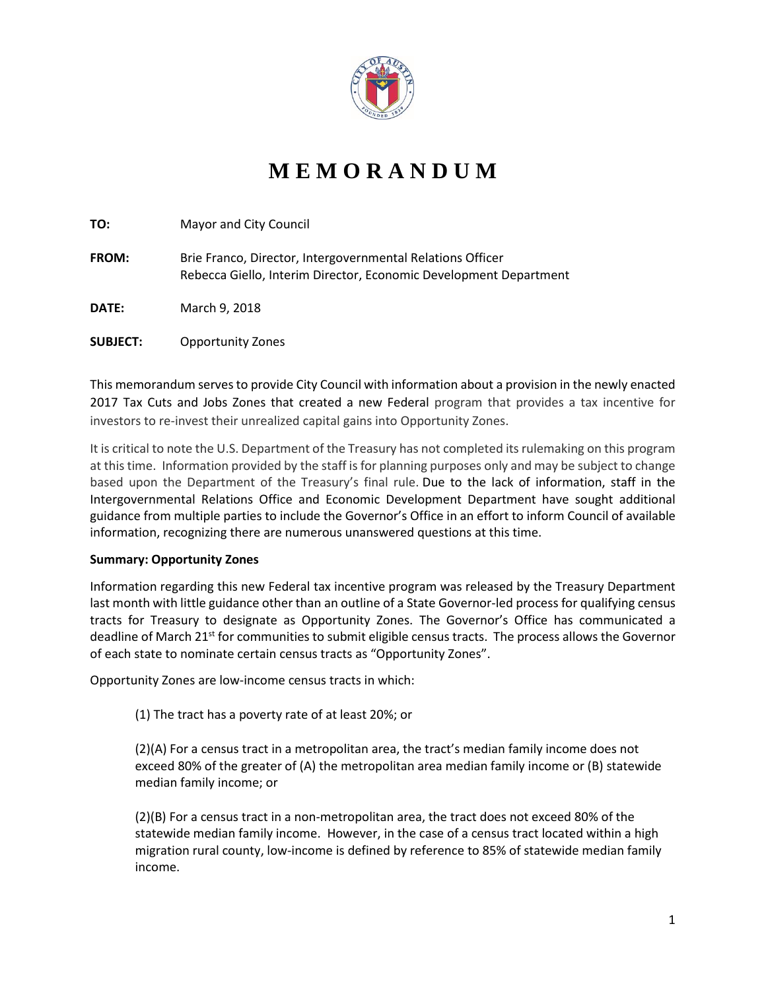

## **M E M O R A N D U M**

| TO:             | Mayor and City Council                                                                                                          |
|-----------------|---------------------------------------------------------------------------------------------------------------------------------|
| <b>FROM:</b>    | Brie Franco, Director, Intergovernmental Relations Officer<br>Rebecca Giello, Interim Director, Economic Development Department |
| <b>DATE:</b>    | March 9, 2018                                                                                                                   |
| <b>SUBJECT:</b> | <b>Opportunity Zones</b>                                                                                                        |

This memorandum serves to provide City Council with information about a provision in the newly enacted 2017 Tax Cuts and Jobs Zones that created a new Federal program that provides a tax incentive for investors to re-invest their unrealized capital gains into Opportunity Zones.

It is critical to note the U.S. Department of the Treasury has not completed its rulemaking on this program at this time. Information provided by the staff is for planning purposes only and may be subject to change based upon the Department of the Treasury's final rule. Due to the lack of information, staff in the Intergovernmental Relations Office and Economic Development Department have sought additional guidance from multiple parties to include the Governor's Office in an effort to inform Council of available information, recognizing there are numerous unanswered questions at this time.

## **Summary: Opportunity Zones**

Information regarding this new Federal tax incentive program was released by the Treasury Department last month with little guidance other than an outline of a State Governor-led process for qualifying census tracts for Treasury to designate as Opportunity Zones. The Governor's Office has communicated a deadline of March 21<sup>st</sup> for communities to submit eligible census tracts. The process allows the Governor of each state to nominate certain census tracts as "Opportunity Zones".

Opportunity Zones are low-income census tracts in which:

(1) The tract has a poverty rate of at least 20%; or

(2)(A) For a census tract in a metropolitan area, the tract's median family income does not exceed 80% of the greater of (A) the metropolitan area median family income or (B) statewide median family income; or

(2)(B) For a census tract in a non-metropolitan area, the tract does not exceed 80% of the statewide median family income. However, in the case of a census tract located within a high migration rural county, low-income is defined by reference to 85% of statewide median family income.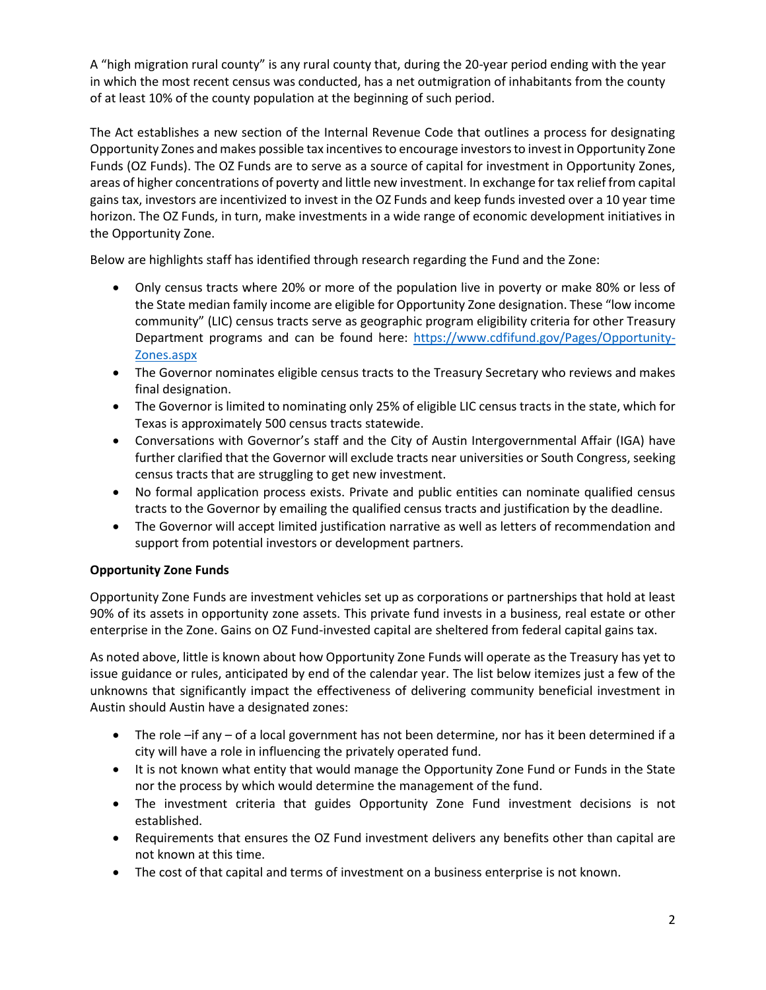A "high migration rural county" is any rural county that, during the 20-year period ending with the year in which the most recent census was conducted, has a net outmigration of inhabitants from the county of at least 10% of the county population at the beginning of such period.

The Act establishes a new section of the Internal Revenue Code that outlines a process for designating Opportunity Zones and makes possible tax incentives to encourage investors to invest in Opportunity Zone Funds (OZ Funds). The OZ Funds are to serve as a source of capital for investment in Opportunity Zones, areas of higher concentrations of poverty and little new investment. In exchange for tax relief from capital gains tax, investors are incentivized to invest in the OZ Funds and keep funds invested over a 10 year time horizon. The OZ Funds, in turn, make investments in a wide range of economic development initiatives in the Opportunity Zone.

Below are highlights staff has identified through research regarding the Fund and the Zone:

- Only census tracts where 20% or more of the population live in poverty or make 80% or less of the State median family income are eligible for Opportunity Zone designation. These "low income community" (LIC) census tracts serve as geographic program eligibility criteria for other Treasury Department programs and can be found here: [https://www.cdfifund.gov/Pages/Opportunity-](https://www.cdfifund.gov/Pages/Opportunity-Zones.aspx)[Zones.aspx](https://www.cdfifund.gov/Pages/Opportunity-Zones.aspx)
- The Governor nominates eligible census tracts to the Treasury Secretary who reviews and makes final designation.
- The Governor is limited to nominating only 25% of eligible LIC census tracts in the state, which for Texas is approximately 500 census tracts statewide.
- Conversations with Governor's staff and the City of Austin Intergovernmental Affair (IGA) have further clarified that the Governor will exclude tracts near universities or South Congress, seeking census tracts that are struggling to get new investment.
- No formal application process exists. Private and public entities can nominate qualified census tracts to the Governor by emailing the qualified census tracts and justification by the deadline.
- The Governor will accept limited justification narrative as well as letters of recommendation and support from potential investors or development partners.

## **Opportunity Zone Funds**

Opportunity Zone Funds are investment vehicles set up as corporations or partnerships that hold at least 90% of its assets in opportunity zone assets. This private fund invests in a business, real estate or other enterprise in the Zone. Gains on OZ Fund-invested capital are sheltered from federal capital gains tax.

As noted above, little is known about how Opportunity Zone Funds will operate as the Treasury has yet to issue guidance or rules, anticipated by end of the calendar year. The list below itemizes just a few of the unknowns that significantly impact the effectiveness of delivering community beneficial investment in Austin should Austin have a designated zones:

- The role –if any of a local government has not been determine, nor has it been determined if a city will have a role in influencing the privately operated fund.
- It is not known what entity that would manage the Opportunity Zone Fund or Funds in the State nor the process by which would determine the management of the fund.
- The investment criteria that guides Opportunity Zone Fund investment decisions is not established.
- Requirements that ensures the OZ Fund investment delivers any benefits other than capital are not known at this time.
- The cost of that capital and terms of investment on a business enterprise is not known.